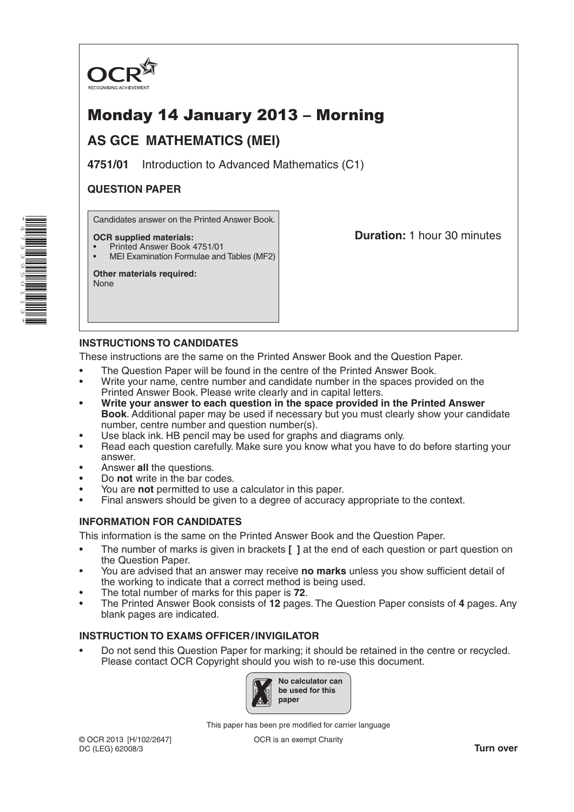

# Monday 14 January 2013 – Morning

## **AS GCE MATHEMATICS (MEI)**

**4751/01** Introduction to Advanced Mathematics (C1)

## **QUESTION PAPER**

Candidates answer on the Printed Answer Book.

#### **OCR supplied materials:**

- Printed Answer Book 4751/01
- MEI Examination Formulae and Tables (MF2)

**Other materials required:** None

**Duration:** 1 hour 30 minutes

### **INSTRUCTIONS TO CANDIDATES**

These instructions are the same on the Printed Answer Book and the Question Paper.

- The Question Paper will be found in the centre of the Printed Answer Book.
- Write your name, centre number and candidate number in the spaces provided on the Printed Answer Book. Please write clearly and in capital letters.
- **• Write your answer to each question in the space provided in the Printed Answer Book**. Additional paper may be used if necessary but you must clearly show your candidate number, centre number and question number(s).
- Use black ink. HB pencil may be used for graphs and diagrams only.
- Read each question carefully. Make sure you know what you have to do before starting your answer.
- Answer **all** the questions.
- Do **not** write in the bar codes.
- You are **not** permitted to use a calculator in this paper.
- Final answers should be given to a degree of accuracy appropriate to the context.

#### **INFORMATION FOR CANDIDATES**

This information is the same on the Printed Answer Book and the Question Paper.

- The number of marks is given in brackets **[ ]** at the end of each question or part question on the Question Paper.
- You are advised that an answer may receive **no marks** unless you show sufficient detail of the working to indicate that a correct method is being used.
- The total number of marks for this paper is **72**.
- The Printed Answer Book consists of **12** pages. The Question Paper consists of **4** pages. Any blank pages are indicated.

### **INSTRUCTION TO EXAMS OFFICER/INVIGILATOR**

• Do not send this Question Paper for marking; it should be retained in the centre or recycled. Please contact OCR Copyright should you wish to re-use this document.



This paper has been pre modified for carrier language

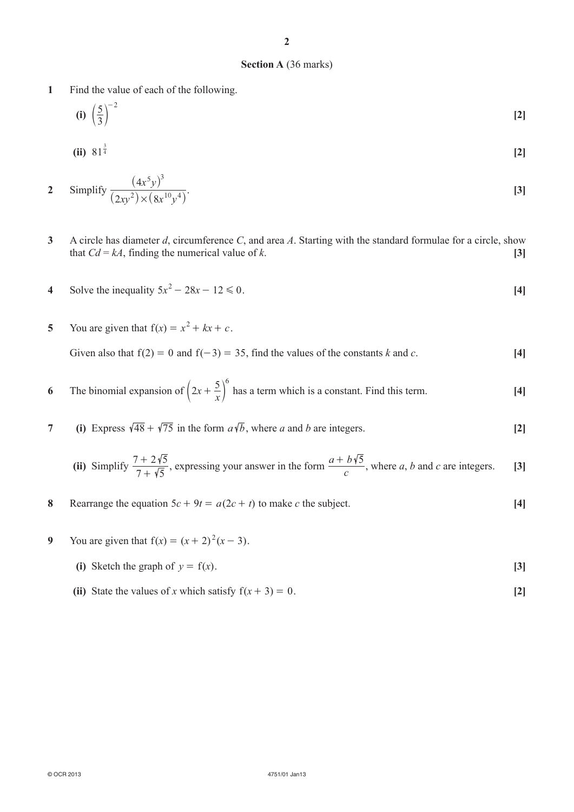#### **Section A** (36 marks)

- **1** Find the value of each of the following.
	- $(i)$   $\left(\frac{3}{3}\right)$  $(5)^{-2}$  $\left(\frac{3}{2}\right)$  [2]

(ii) 
$$
81^{\frac{3}{4}}
$$
 [2]

2 Simplify 
$$
\frac{(4x^5y)^3}{(2xy^2)\times(8x^{10}y^4)}
$$
. [3]

- **3** A circle has diameter *d*, circumference *C*, and area *A*. Starting with the standard formulae for a circle, show that  $Cd = kA$ , finding the numerical value of *k*. **[3]**
- **4** Solve the inequality  $5x^2 28x 12 \le 0$ . [4]
- **5** You are given that  $f(x) = x^2 + kx + c$ . Given also that  $f(2) = 0$  and  $f(-3) = 35$ , find the values of the constants *k* and *c*. [4]
- **6** The binomial expansion of  $\left(2x + \frac{5}{x}\right)^6$  has a term which is a constant. Find this term. **[4]**
- **7 (i)** Express  $\sqrt{48} + \sqrt{75}$  in the form  $a\sqrt{b}$ , where *a* and *b* are integers. [2]

(ii) Simplify 
$$
\frac{7+2\sqrt{5}}{7+\sqrt{5}}
$$
, expressing your answer in the form  $\frac{a+b\sqrt{5}}{c}$ , where *a*, *b* and *c* are integers. [3]

- **8** Rearrange the equation  $5c + 9t = a(2c + t)$  to make *c* the subject. [4]
- **9** You are given that  $f(x) = (x + 2)^2 (x 3)$ .
	- (i) Sketch the graph of  $y = f(x)$ . [3]
	- (ii) State the values of *x* which satisfy  $f(x + 3) = 0$ . [2]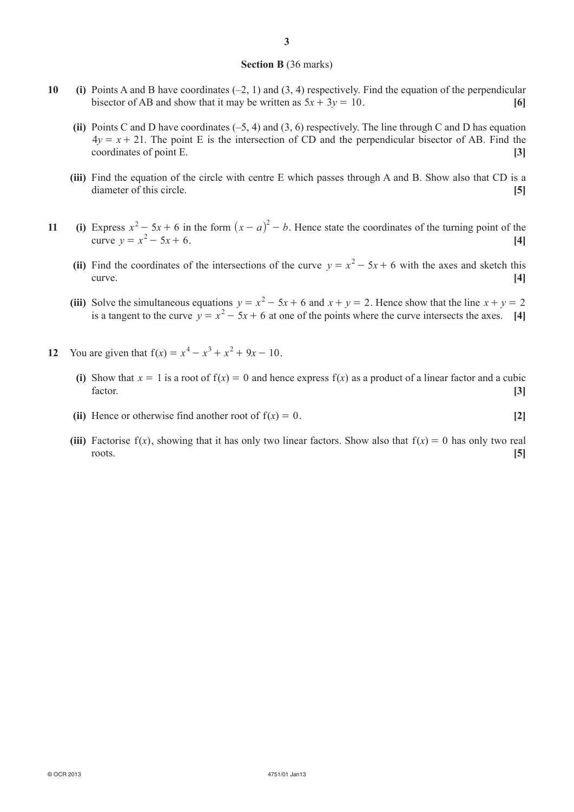#### **Section B** (36 marks)

- **10 (i)** Points A and B have coordinates (–2, 1) and (3, 4) respectively. Find the equation of the perpendicular bisector of AB and show that it may be written as  $5x + 3y = 10$ . [6]
	- **(ii)** Points C and D have coordinates (–5, 4) and (3, 6) respectively. The line through C and D has equation  $4y = x + 21$ . The point E is the intersection of CD and the perpendicular bisector of AB. Find the coordinates of point E. **[3]**
	- **(iii)** Find the equation of the circle with centre E which passes through A and B. Show also that CD is a diameter of this circle. **[5]**
- **11 (i)** Express  $x^2 5x + 6$  in the form  $(x a)^2 b$ . Hence state the coordinates of the turning point of the curve  $y = x^2 - 5x + 6$ . [4]
	- (ii) Find the coordinates of the intersections of the curve  $y = x^2 5x + 6$  with the axes and sketch this curve. **[4]**
	- (iii) Solve the simultaneous equations  $y = x^2 5x + 6$  and  $x + y = 2$ . Hence show that the line  $x + y = 2$ is a tangent to the curve  $y = x^2 - 5x + 6$  at one of the points where the curve intersects the axes. [4]
- **12** You are given that  $f(x) = x^4 x^3 + x^2 + 9x 10$ .
	- (i) Show that  $x = 1$  is a root of  $f(x) = 0$  and hence express  $f(x)$  as a product of a linear factor and a cubic factor. **[3]**
	- **(ii)** Hence or otherwise find another root of  $f(x) = 0$ . [2]
	- (iii) Factorise  $f(x)$ , showing that it has only two linear factors. Show also that  $f(x) = 0$  has only two real roots. **[5]**